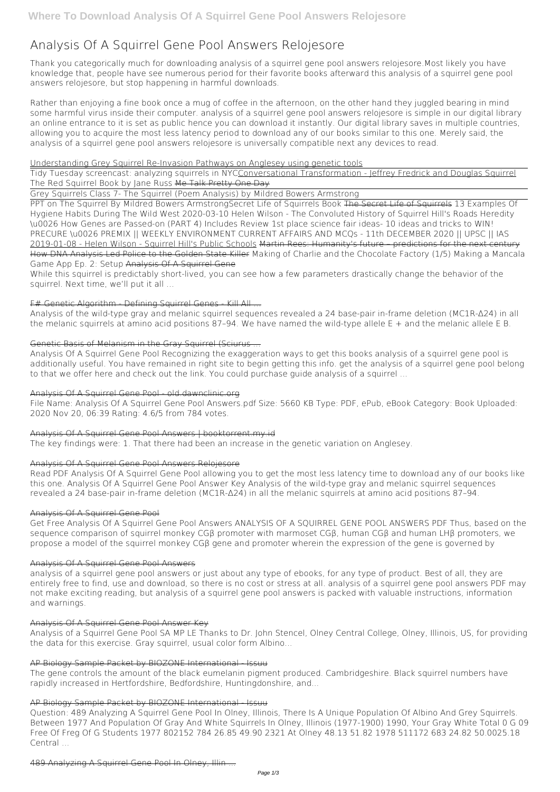# **Analysis Of A Squirrel Gene Pool Answers Relojesore**

Thank you categorically much for downloading **analysis of a squirrel gene pool answers relojesore**.Most likely you have knowledge that, people have see numerous period for their favorite books afterward this analysis of a squirrel gene pool answers relojesore, but stop happening in harmful downloads.

Rather than enjoying a fine book once a mug of coffee in the afternoon, on the other hand they juggled bearing in mind some harmful virus inside their computer. **analysis of a squirrel gene pool answers relojesore** is simple in our digital library an online entrance to it is set as public hence you can download it instantly. Our digital library saves in multiple countries, allowing you to acquire the most less latency period to download any of our books similar to this one. Merely said, the analysis of a squirrel gene pool answers relojesore is universally compatible next any devices to read.

## Understanding Grey Squirrel Re-Invasion Pathways on Anglesey using genetic tools

Analysis of the wild-type gray and melanic squirrel sequences revealed a 24 base-pair in-frame deletion (MC1R-Δ24) in all the melanic squirrels at amino acid positions 87–94. We have named the wild-type allele  $E +$  and the melanic allele  $E$  B.

Tidy Tuesday screencast: analyzing squirrels in NYCConversational Transformation - Jeffrey Fredrick and Douglas Squirrel *The Red Squirrel Book by Jane Russ* Me Talk Pretty One Day

Grey Squirrels Class 7- The Squirrel (Poem Analysis) by Mildred Bowers Armstrong

PPT on The Squirrel By Mildred Bowers Armstrong*Secret Life of Squirrels Book* The Secret Life of Squirrels 13 Examples Of Hygiene Habits During The Wild West **2020-03-10 Helen Wilson - The Convoluted History of Squirrel Hill's Roads** *Heredity \u0026 How Genes are Passed-on (PART 4) Includes Review 1st place science fair ideas- 10 ideas and tricks to WIN!* **PRECURE \u0026 PREMIX || WEEKLY ENVIRONMENT CURRENT AFFAIRS AND MCQs - 11th DECEMBER 2020 || UPSC || IAS** 2019-01-08 - Helen Wilson - Squirrel Hill's Public Schools Martin Rees: Humanity's future – predictions for the next century How DNA Analysis Led Police to the Golden State Killer *Making of Charlie and the Chocolate Factory (1/5)* Making a Mancala Game App Ep. 2: Setup Analysis Of A Squirrel Gene

While this squirrel is predictably short-lived, you can see how a few parameters drastically change the behavior of the squirrel. Next time, we'll put it all …

## F# Genetic Algorithm - Defining Squirrel Genes - Kill All ...

## Genetic Basis of Melanism in the Gray Squirrel (Sciurus ...

Analysis Of A Squirrel Gene Pool Recognizing the exaggeration ways to get this books analysis of a squirrel gene pool is additionally useful. You have remained in right site to begin getting this info. get the analysis of a squirrel gene pool belong to that we offer here and check out the link. You could purchase guide analysis of a squirrel ...

## Analysis Of A Squirrel Gene Pool - old.dawnclinic.org

File Name: Analysis Of A Squirrel Gene Pool Answers.pdf Size: 5660 KB Type: PDF, ePub, eBook Category: Book Uploaded: 2020 Nov 20, 06:39 Rating: 4.6/5 from 784 votes.

## Analysis Of A Squirrel Gene Pool Answers | booktorrent.my.id

The key findings were: 1. That there had been an increase in the genetic variation on Anglesey.

## Analysis Of A Squirrel Gene Pool Answers Relojesore

Read PDF Analysis Of A Squirrel Gene Pool allowing you to get the most less latency time to download any of our books like this one. Analysis Of A Squirrel Gene Pool Answer Key Analysis of the wild-type gray and melanic squirrel sequences revealed a 24 base-pair in-frame deletion (MC1R-Δ24) in all the melanic squirrels at amino acid positions 87–94.

## Analysis Of A Squirrel Gene Pool

Get Free Analysis Of A Squirrel Gene Pool Answers ANALYSIS OF A SQUIRREL GENE POOL ANSWERS PDF Thus, based on the sequence comparison of squirrel monkey CGβ promoter with marmoset CGβ, human CGβ and human LHβ promoters, we propose a model of the squirrel monkey CGβ gene and promoter wherein the expression of the gene is governed by

## Analysis Of A Squirrel Gene Pool Answers

analysis of a squirrel gene pool answers or just about any type of ebooks, for any type of product. Best of all, they are entirely free to find, use and download, so there is no cost or stress at all. analysis of a squirrel gene pool answers PDF may not make exciting reading, but analysis of a squirrel gene pool answers is packed with valuable instructions, information

and warnings.

#### Analysis Of A Squirrel Gene Pool Answer Key

Analysis of a Squirrel Gene Pool SA MP LE Thanks to Dr. John Stencel, Olney Central College, Olney, Illinois, US, for providing the data for this exercise. Gray squirrel, usual color form Albino...

#### AP Biology Sample Packet by BIOZONE International Issuu

The gene controls the amount of the black eumelanin pigment produced. Cambridgeshire. Black squirrel numbers have rapidly increased in Hertfordshire, Bedfordshire, Huntingdonshire, and...

#### AP Biology Sample Packet by BIOZONE International Issuu

Question: 489 Analyzing A Squirrel Gene Pool In Olney, Illinois, There Is A Unique Population Of Albino And Grey Squirrels. Between 1977 And Population Of Gray And White Squirrels In Olney, Illinois (1977-1900) 1990, Your Gray White Total 0 G 09 Free Of Freg Of G Students 1977 802152 784 26.85 49.90 2321 At Olney 48.13 51.82 1978 511172 683 24.82 50.0025.18 Central ...

489 Analyzing A Squirrel Gene Pool In Olney, Illin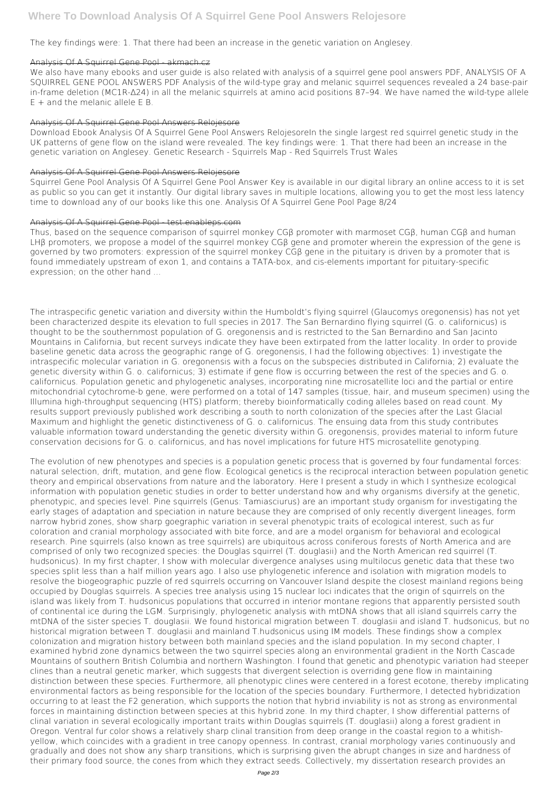The key findings were: 1. That there had been an increase in the genetic variation on Anglesey.

## Analysis Of A Squirrel Gene Pool - akmach.cz

We also have many ebooks and user quide is also related with analysis of a squirrel gene pool answers PDF, ANALYSIS OF A SQUIRREL GENE POOL ANSWERS PDF Analysis of the wild-type gray and melanic squirrel sequences revealed a 24 base-pair in-frame deletion (MC1R-Δ24) in all the melanic squirrels at amino acid positions 87–94. We have named the wild-type allele E + and the melanic allele E B.

Download Ebook Analysis Of A Squirrel Gene Pool Answers RelojesoreIn the single largest red squirrel genetic study in the UK patterns of gene flow on the island were revealed. The key findings were: 1. That there had been an increase in the genetic variation on Anglesey. Genetic Research - Squirrels Map - Red Squirrels Trust Wales

#### Analysis Of A Squirrel Gene Pool Answers Relojesore

#### Analysis Of A Squirrel Gene Pool Answers Relojesore

Squirrel Gene Pool Analysis Of A Squirrel Gene Pool Answer Key is available in our digital library an online access to it is set as public so you can get it instantly. Our digital library saves in multiple locations, allowing you to get the most less latency time to download any of our books like this one. Analysis Of A Squirrel Gene Pool Page 8/24

#### Analysis Of A Squirrel Gene Pool - test.enableps.com

Thus, based on the sequence comparison of squirrel monkey CGβ promoter with marmoset CGβ, human CGβ and human LHβ promoters, we propose a model of the squirrel monkey CGβ gene and promoter wherein the expression of the gene is governed by two promoters: expression of the squirrel monkey CGβ gene in the pituitary is driven by a promoter that is found immediately upstream of exon 1, and contains a TATA-box, and cis-elements important for pituitary-specific expression; on the other hand ...

The intraspecific genetic variation and diversity within the Humboldt's flying squirrel (Glaucomys oregonensis) has not yet been characterized despite its elevation to full species in 2017. The San Bernardino flying squirrel (G. o. californicus) is thought to be the southernmost population of G. oregonensis and is restricted to the San Bernardino and San Jacinto Mountains in California, but recent surveys indicate they have been extirpated from the latter locality. In order to provide baseline genetic data across the geographic range of G. oregonensis, I had the following objectives: 1) investigate the intraspecific molecular variation in G. oregonensis with a focus on the subspecies distributed in California; 2) evaluate the genetic diversity within G. o. californicus; 3) estimate if gene flow is occurring between the rest of the species and G. o. californicus. Population genetic and phylogenetic analyses, incorporating nine microsatellite loci and the partial or entire mitochondrial cytochrome-b gene, were performed on a total of 147 samples (tissue, hair, and museum specimen) using the Illumina high-throughput sequencing (HTS) platform; thereby bioinformatically coding alleles based on read count. My results support previously published work describing a south to north colonization of the species after the Last Glacial Maximum and highlight the genetic distinctiveness of G. o. californicus. The ensuing data from this study contributes valuable information toward understanding the genetic diversity within G. oregonensis, provides material to inform future conservation decisions for G. o. californicus, and has novel implications for future HTS microsatellite genotyping.

The evolution of new phenotypes and species is a population genetic process that is governed by four fundamental forces: natural selection, drift, mutation, and gene flow. Ecological genetics is the reciprocal interaction between population genetic theory and empirical observations from nature and the laboratory. Here I present a study in which I synthesize ecological information with population genetic studies in order to better understand how and why organisms diversify at the genetic, phenotypic, and species level. Pine squirrels (Genus: Tamiasciurus) are an important study organism for investigating the early stages of adaptation and speciation in nature because they are comprised of only recently divergent lineages, form narrow hybrid zones, show sharp goegraphic variation in several phenotypic traits of ecological interest, such as fur coloration and cranial morphology associated with bite force, and are a model organism for behavioral and ecological research. Pine squirrels (also known as tree squirrels) are ubiquitous across coniferous forests of North America and are comprised of only two recognized species: the Douglas squirrel (T. douglasii) and the North American red squirrel (T. hudsonicus). In my first chapter, I show with molecular divergence analyses using multilocus genetic data that these two species split less than a half million years ago. I also use phylogenetic inference and isolation with migration models to resolve the biogeographic puzzle of red squirrels occurring on Vancouver Island despite the closest mainland regions being occupied by Douglas squirrels. A species tree analysis using 15 nuclear loci indicates that the origin of squirrels on the island was likely from T. hudsonicus populations that occurred in interior montane regions that apparently persisted south of continental ice during the LGM. Surprisingly, phylogenetic analysis with mtDNA shows that all island squirrels carry the mtDNA of the sister species T. douglasii. We found historical migration between T. douglasii and island T. hudsonicus, but no historical migration between T. douglasii and mainland T.hudsonicus using IM models. These findings show a complex colonization and migration history between both mainland species and the island population. In my second chapter, I examined hybrid zone dynamics between the two squirrel species along an environmental gradient in the North Cascade Mountains of southern British Columbia and northern Washington. I found that genetic and phenotypic variation had steeper clines than a neutral genetic marker, which suggests that divergent selection is overriding gene flow in maintaining distinction between these species. Furthermore, all phenotypic clines were centered in a forest ecotone, thereby implicating environmental factors as being responsible for the location of the species boundary. Furthermore, I detected hybridization occurring to at least the F2 generation, which supports the notion that hybrid inviability is not as strong as environmental forces in maintaining distinction between species at this hybrid zone. In my third chapter, I show differential patterns of clinal variation in several ecologically important traits within Douglas squirrels (T. douglasii) along a forest gradient in Oregon. Ventral fur color shows a relatively sharp clinal transition from deep orange in the coastal region to a whitishyellow, which coincides with a gradient in tree canopy openness. In contrast, cranial morphology varies continuously and gradually and does not show any sharp transitions, which is surprising given the abrupt changes in size and hardness of their primary food source, the cones from which they extract seeds. Collectively, my dissertation research provides an